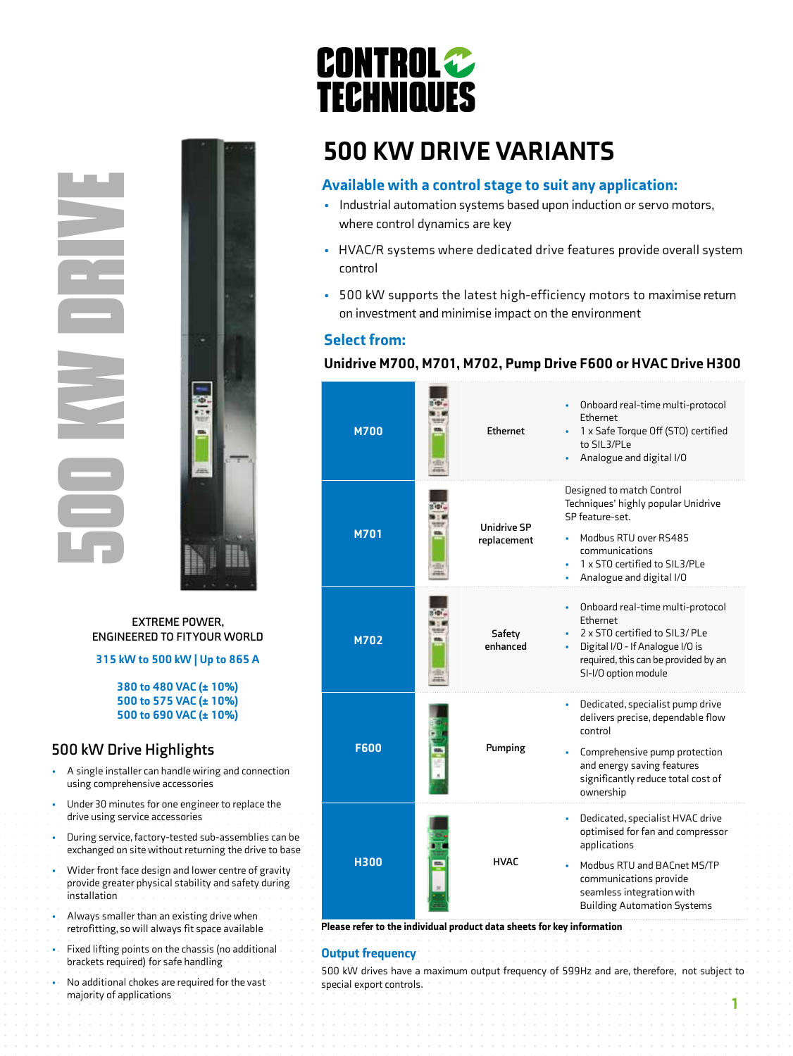

**EXTREME POWER, ENGINEERED TO FIT YOUR WORLD**

315 kW to 500 kW | Up to 865 A

380 to 480 VAC (± 10%) 500 to 575 VAC (± 10%) 500 to 690 VAC (± 10%)

#### **500 kW Drive Highlights**

- A single installer can handle wiring and connection using comprehensive accessories
- Under 30 minutes for one engineer to replace the drive using service accessories
- During service, factory-tested sub-assemblies can be exchanged on site without returning the drive to base
- Wider front face design and lower centre of gravity provide greater physical stability and safety during installation
- Always smaller than an existing drive when. retrofitting, so will always fit space available
- Fixed lifting points on the chassis (no additional brackets required) for safe handling
- No additional chokes are required for the vast majority of applications



### 500 KW DRIVE VARIANTS

#### Available with a control stage to suit any application:

- Industrial automation systems based upon induction or servo motors, where control dynamics are key
- HVAC/R systems where dedicated drive features provide overall system control
- 500 kW supports the latest high-efficiency motors to maximise return on investment and minimise impact on the environment

#### Select from:

#### Unidrive M700, M701, M702, Pump Drive F600 or HVAC Drive H300

| <b>M700</b> | <b>Ethernet</b>                   | Onboard real-time multi-protocol<br>ö<br>Ethernet<br>1 x Safe Torque Off (STO) certified<br>to SIL3/PLe<br>Analogue and digital I/O                                                                              |
|-------------|-----------------------------------|------------------------------------------------------------------------------------------------------------------------------------------------------------------------------------------------------------------|
| <b>M701</b> | <b>Unidrive SP</b><br>replacement | Designed to match Control<br>Techniques' highly popular Unidrive<br>SP feature-set.<br>Modbus RTU over RS485<br>communications<br>1 x STO certified to SIL3/PLe<br>Analogue and digital I/O                      |
| <b>M702</b> | Safety<br>enhanced                | Onboard real-time multi-protocol<br>٠<br>Ethernet<br>2 x STO certified to SIL3/ PLe<br>Digital I/O - If Analogue I/O is<br>required, this can be provided by an<br>SI-I/O option module                          |
| <b>F600</b> | Pumping                           | Dedicated, specialist pump drive<br>delivers precise, dependable flow<br>control<br>Comprehensive pump protection<br>and energy saving features<br>significantly reduce total cost of<br>ownership               |
| <b>H300</b> | <b>HVAC</b>                       | Dedicated, specialist HVAC drive<br>optimised for fan and compressor<br>applications<br>Modbus RTU and BACnet MS/TP<br>communications provide<br>seamless integration with<br><b>Building Automation Systems</b> |

Please refer to the individual product data sheets for key information

#### Output frequency

500 kW drives have a maximum output frequency of 599Hz and are, therefore, not subject to special export controls.

1